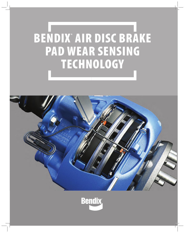# BENDIX® AIR DISC BRAKE PAD WEAR SENSING **TECHNOLOGY**



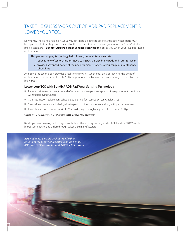# TAKE THE GUESS WORK OUT OF ADB PAD REPLACEMENT & LOWER YOUR TCO.

Downtime. There's no avoiding it…but wouldn't it be great to be able to anticipate when parts must be replaced – before they reach the end of their service life? Here's some great news for Bendix® air disc brake customers – **Bendix® ADB Pad Wear Sensing Technology** notifies you when your ADB pads need replacement.

- This game changing technology helps lower your maintenance costs:
	- 1. reduces how often technicians need to inspect air disc brake pads and rotor for wear
	- 2. provides advanced notice of the need for maintenance, so you can plan maintenance scheduling

And, since the technology provides a real time early alert when pads are approaching the point of replacement, it helps protect costly ADB components – such as rotors – from damage caused by worn brake pads.

# **Lower your TCO with Bendix® ADB Pad Wear Sensing Technology**

- $\blacksquare$  Reduce maintenance costs, time and effort know when pads are approaching replacement conditions without removing wheels
- Optimize friction replacement schedule by alerting fleet service center via telematics
- **Streamline maintenance by being able to perform other maintenance along with pad replacement**
- Protect expensive components (rotor\*) from damage through early detection of worn ADB pads

\*Typical cost to replace a rotor in the aftermarket: \$600 (parts and two hours labor)

Bendix pad wear sensing technology is available for the industry leading family of OE Bendix ADB22X air disc brakes (both tractor and trailer) through select OEM manufacturers.

ADB Pad Wear Sensing Technology further optimizes the family of industry-leading Bendix ADBs (ADB22X for tractor and ADB22X-LT for trailer)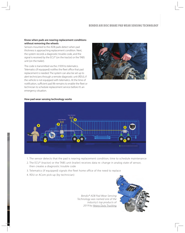## **Know when pads are nearing replacement conditions without removing the wheels**

Sensors mounted to the ADB pads detect when pad thickness is approaching replacement condition. Next, the system records a diagnostic trouble code, and the signal is received by the ECU\* (on the tractor) or the TABS unit (on the trailer).

The code is transmitted via the J1939 to telematics. Telematics (if equipped) notifies the fleet office that pad replacement is needed. The system can also be set up to alert technicians through a remote diagnostic unit (RDU), if the vehicle is not equipped with telematics. At the time of notification, sufficient pad life remains to enable the fleet or technician to schedule replacement service before it's an emergency situation.



#### **How pad wear sensing technology works**



- 1. The sensor detects that the pad is nearing replacement condition; time to schedule maintenance
- 2. The ECU\* (tractor) or the TABS unit (trailer) receives data re: change in analog state of sensor, then creates a diagnostic trouble code
- 3. Telematics (if equipped) signals the fleet home office of the need to replace
- 4. RDU or ACom pick-up (by technician)

Bendix® ADB Pad Wear Sensing Technology was named one of the industry's top products of 2019 by <u>Heavy Duty Trucking</u> e<br>of